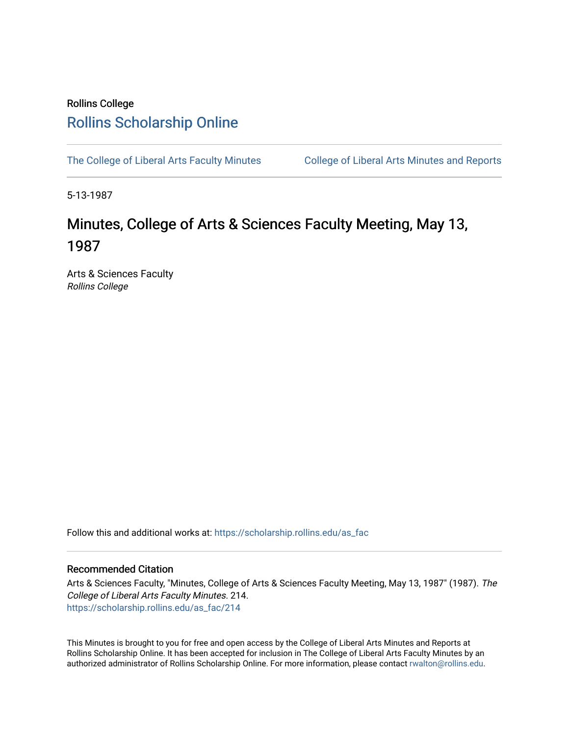## Rollins College [Rollins Scholarship Online](https://scholarship.rollins.edu/)

[The College of Liberal Arts Faculty Minutes](https://scholarship.rollins.edu/as_fac) College of Liberal Arts Minutes and Reports

5-13-1987

# Minutes, College of Arts & Sciences Faculty Meeting, May 13, 1987

Arts & Sciences Faculty Rollins College

Follow this and additional works at: [https://scholarship.rollins.edu/as\\_fac](https://scholarship.rollins.edu/as_fac?utm_source=scholarship.rollins.edu%2Fas_fac%2F214&utm_medium=PDF&utm_campaign=PDFCoverPages) 

## Recommended Citation

Arts & Sciences Faculty, "Minutes, College of Arts & Sciences Faculty Meeting, May 13, 1987" (1987). The College of Liberal Arts Faculty Minutes. 214. [https://scholarship.rollins.edu/as\\_fac/214](https://scholarship.rollins.edu/as_fac/214?utm_source=scholarship.rollins.edu%2Fas_fac%2F214&utm_medium=PDF&utm_campaign=PDFCoverPages) 

This Minutes is brought to you for free and open access by the College of Liberal Arts Minutes and Reports at Rollins Scholarship Online. It has been accepted for inclusion in The College of Liberal Arts Faculty Minutes by an authorized administrator of Rollins Scholarship Online. For more information, please contact [rwalton@rollins.edu](mailto:rwalton@rollins.edu).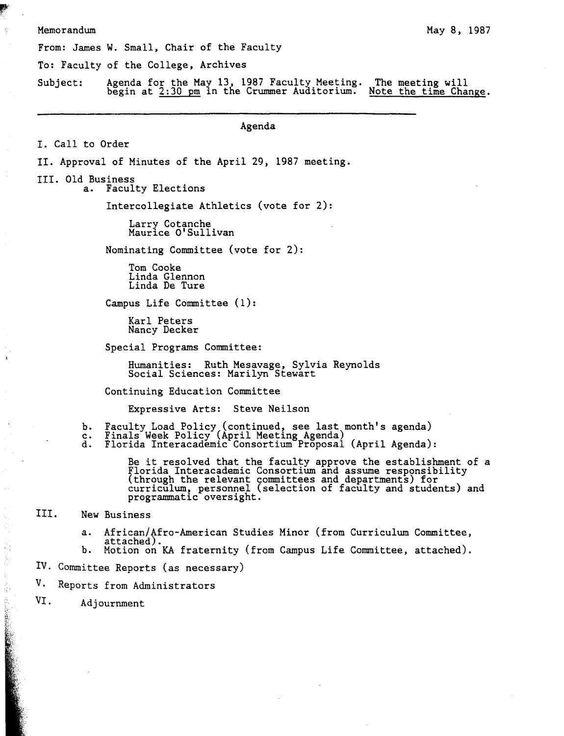#### Memorandum

From: James W. Small, Chair of the Faculty

To: Faculty of the College, Archives

Subject: Agenda for the May 13, 1987 Faculty Meeting.<br>begin at  $2:30$  pm in the Crummer Auditorium. The meeting will Note the time Change.

**Agenda** 

I. Call to Order

II. Approval of Minutes of the April 29, 1987 meeting.

III. Old Business<br>a. Facul

Faculty Elections

Intercollegiate Athletics (vote for 2):

Larry Cotanche Maurice O'Sullivan

Nominating Committee (vote for 2):

Tom Cooke Linda Glennon Linda De Ture

Campus Life Committee (1):

Karl Peters Nancy Decker

Special Programs Committee:

Humanities: Ruth Mesavage, Sylvia Reynolds Social Sciences: Marilyn Stewart

Continuing Education Committee

Expressive Arts: Steve Neilson

- b.
- c.
- d. Faculty Load Policy (continued, see last month's agenda) Finals Week Policy (April Meeting Agenda) Florida Interacademic Consortium Proposal (April Agenda):

Be it resolved that the faculty approve the establishment of a Florida Interacademic Consortium and assume responsibility (through the relevant committees and departments) for curriculum, personnel (selection of faculty and students) and programmatic oversight.

III. New Business

£ţ

- a. African/Afro-American Studies Minor (from Curriculum Committee, attached).<br>b. Motion on KA fraternity (from Campus Life Committee, attached).
- 
- IV. Committee Reports (as necessary)
- V. Reports from Administrators
- VI. Adjournment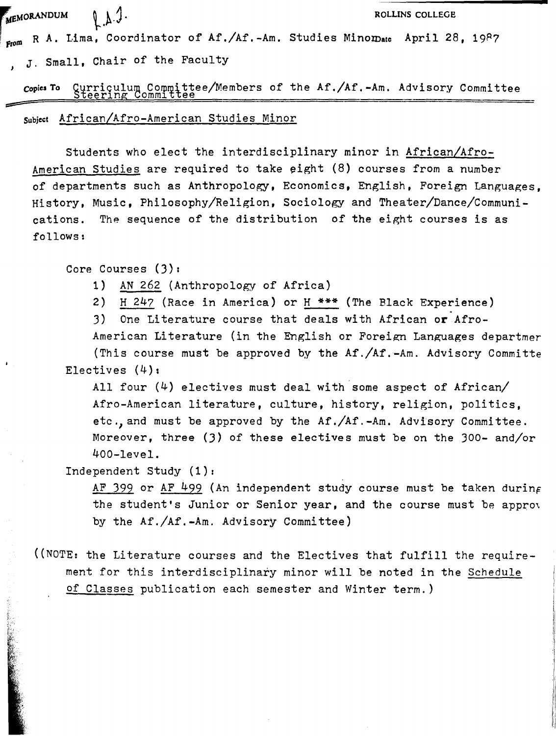$\epsilon$ <sub>memorandum</sub> **ROLLINS** COLLEGE

 $_{\text{From}}$  R A. Lima, Coordinator of Af./Af.-Am. Studies Minomate April 28, 1987 J. Small, Chair of the Faculty

**Copies To** Curriculum Committee/Members of the Af./Af.-Am. Advisory Committee Steering Committee

Subject African/Afro-American Studies Minor

Students who elect the interdisciplinary minor in African/Afro-American Studies are required to take  $e$ ight  $(8)$  courses from a number of departments such as Anthropology, Economics, English, Foreign Languages, History, Music, Philosophy/Religion, Sociology and Theater/Dance/Communications. The sequence of the distribution of the eight courses is as follows:

Core Courses (J):

- 1) AN 262 (Anthropology of Africa)
- 2) H 247 (Race in America) or H \*\*\* (The Black Experience)

3) One Literature course that deals with African **or** Afro-

American Literature (in the English or Foreign Languages departmer (This course must be approved by the Af./Af.-Am. Advisory Committe Electives (4):

All four (4) electives must deal with some aspect of African/ Afro-American literature, culture, history, religion, politics, etc.,and must be approved by the Af./Af.-Am. Advisory Committee. Moreover, three (J) of these electives must be on the 300- and/or 400-level.

Independent Study (1):

AF 399 or AF 499 (An independent study course must be taken during the student's Junior or Senior year, and the course must be appro\ by the Af./Af.-Am. Advisory Committee)

((NOTE: the Literature courses and the Electives that fulfill the requirement for this interdisciplinary minor will be noted in the Schedule of Classes publication each semester and Winter term.)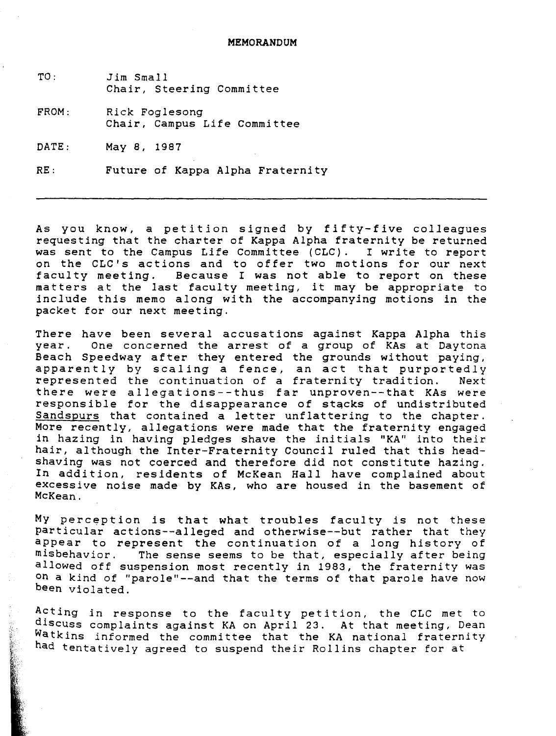TO: *Jim* Small Chair, Steering Committee

FROM: Rick Foglesong Chair, Campus Life Committee

DATE: May 8, 1987

**RE:** Future of Kappa Alpha Fraternity

As you know, a petition signed by fifty-five colleagues requesting that the charter of Kappa Alpha fraternity be returned was sent to the Campus Life Committee (CLC). I write to report on the CLC's actions and to offer two motions for our next faculty meeting. Because I was not able to report on these matters at the last faculty meeting, it may be appropriate to include this memo along with the accompanying motions *in* the packet for our next meeting.

There have been several accusations against Kappa Alpha this year. One concerned the arrest of a group of KAs at Daytona Beach Speedway after they entered the grounds without paying, apparently by scaling a fence, an act that purportedly<br>represented the continuation of a fraternity tradition. Next represented the continuation of a fraternity tradition. there were allegations--thus far unproven--that KAs were responsible for the disappearance of stqcks of undistributed Sandspurs that contained a letter unflattering to the chapter. More recently, allegations were made that the fraternity engaged in hazing in having pledges shave the initials "KA" into their hair, although the Inter-Fraternity Council ruled that this headshaving was not coerced and therefore did not constitute hazing. In addition, residents of McKean Hall have complained about excessive noise made by KAs, who are housed *in* the basement of McKean.

My perception *is* that what troubles faculty *is* not these particular actions--alleged and otherwise--but rather that they appear to represent the continuation of a long history of misbehavior. The sense seems to be that, especially after being allowed off suspension most recently in 1983, the fraternity was on a kind of "parole"--and that the terms of that parole have now been violated.

Acting in response to the faculty petition, the CLC met to discuss complaints against KA on April 23. At that meeting, Dean Watkins informed the committee that the KA national fraternity had tentatively agreed to suspend their Rollins chapter for at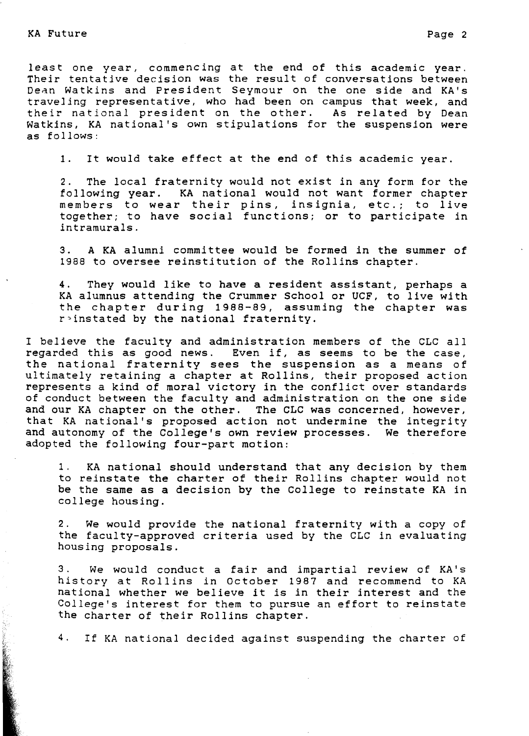least one year, commencing at the end of this academic year. Their tentative decision was the result of conversations between ness conceive accident the secare of conceivations concent traveling representative, who had been on campus that week, and their national president on the other. As related by Dean Watkins, KA national's own stipulations for the suspension were as follows:

1. It would take effect at the end of this academic year.

2. The local fraternity would not exist in any form for the following year. KA national would not want former chapter members to wear their pins, insignia, etc.; to live together; to have social functions; or to participate in intramurals.

3. **A KA** alumni committee would be formed in the summer of 1988 to oversee reinstitution of the Rollins chapter.

4. They would like to have a resident assistant, perhaps a KA alumnus attending the Crummer School or UCF, to live with the chapter during 1988-89, assuming the chapter was r~instated by the national fraternity.

I believe the faculty and administration members of the CLC all regarded this as good news. Even if, as seems to be the case, the national fraternity sees the suspension as a means of ultimately retaining a chapter at Rollins, their proposed action represents a kind of moral victory in the conflict over standards of conduct between the faculty and administration on the one side and our KA chapter on the other. The CLC was concerned, however, that KA national's proposed action not undermine the integrity and autonomy of the College's own review processes. We therefore adopted the following four-part motion:

1. KA national should understand that any decision by them to reinstate the charter of their Rollins chapter would not be the same as a decision by the College to reinstate KA in college housing.

2. We would provide the national fraternity with a copy of the faculty-approved criteria used by the CLC in evaluating housing proposals.

3. We would conduct a fair and impartial review of KA's history at Rollins in October 1987 and recommend to KA national whether we believe it *is* in their interest and the College's interest for them to pursue an effort to reinstate the charter of their Rollins chapter.

4. If KA national decided against suspending the charter of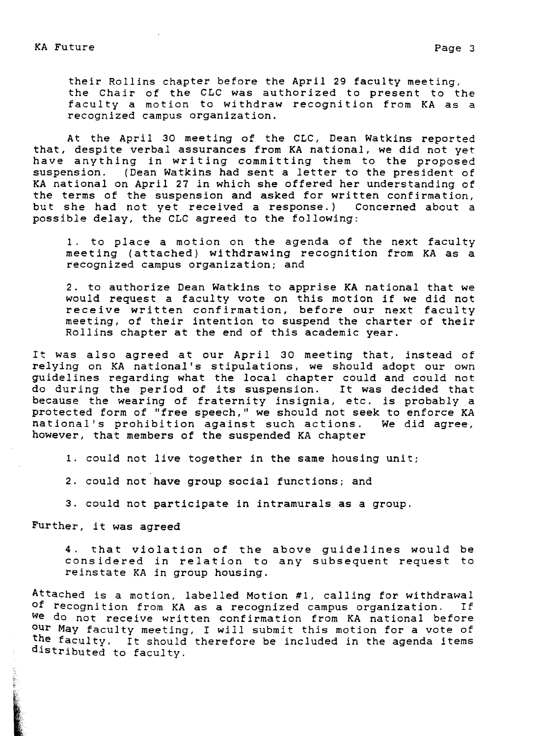their Rollins chapter before the April 29 faculty meeting, the Chair of the CLC was authorized to present to the faculty a motion to withdraw recognition from KA as a recognized campus organization.

At the April 30 meeting of the CLC, Dean Watkins reported that, despite verbal assurances from KA national, we did not yet have anything in writing committing them to the proposed suspension. (Dean Watkins had sent a letter to the president of KA national on April 27 in which she offered her understanding of the terms of the suspension and asked for written confirmation, but she had not yet received a response.) Concerned about a possible delay, the CLC agreed to the following:

1. to place a motion on the agenda of the next faculty meeting (attached) withdrawing recognition from KA as a recognized campus organization; and

2. to authorize Dean Watkins to apprise KA national that we would request a faculty vote on this motion if we did not receive written confirmation, before our next faculty meeting, of their intention to suspend the charter of their Rollins chapter at the end of this academic year.

It was also agreed at our April 30 meeting that, instead of relying on KA national's stipulations, we should adopt our own guidelines regarding what the local chapter could and could not do during the period of its suspension. It was decided that because the wearing of fraternity insignia, etc. is probably a protected form of "free speech," we should not seek to enforce KA national's prohibition against such actions. We did agree, national's prohibition against such actions. however, that members of the suspended KA chapter

1. could not live together in the same housing unit;

2. could not have group social functions; and

3. could not participate in intramurals as a group.

Further, it was agreed

4. that violation of the above guidelines would be considered in relation to any subsequent request to reinstate KA in group housing.

Attached *is* a motion, labelled Motion #1, calling for withdrawal of recognition from KA as a recognized campus organization. **we** do not receive written confirmation from KA national before our May faculty meeting, I will submit this motion for a vote of the faculty. It should therefore be included in the agenda items distributed to faculty.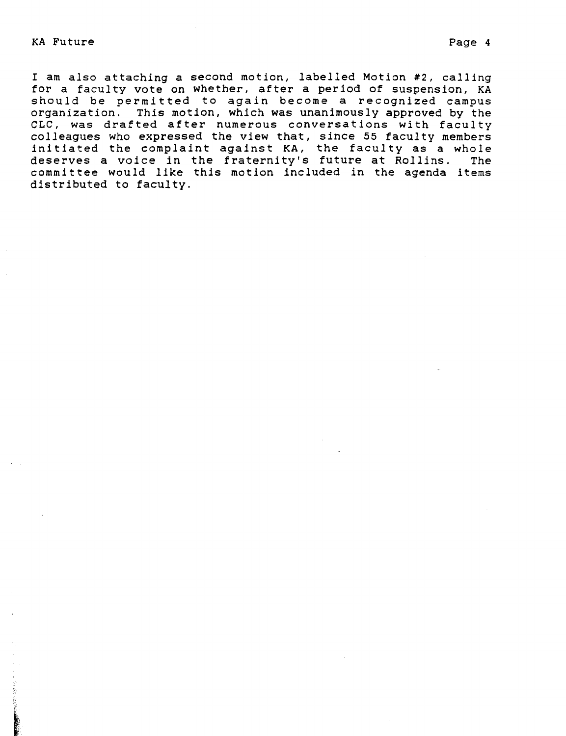KA Future **Page 4** 

I am also attaching a second motion, labelled Motion #2, calling for a faculty vote on whether, after a period of suspension, KA should be permitted to again become a recognized campus organization. This motion, which was unanimously approved by the CLC, was drafted after numerous conversations with faculty colleagues who expressed the view that, since 55 faculty members initiated the complaint against KA, the faculty as a whole deserves a voice in the fraternity's future at Rollins. The committee would like this motion included in the agenda items distributed to faculty.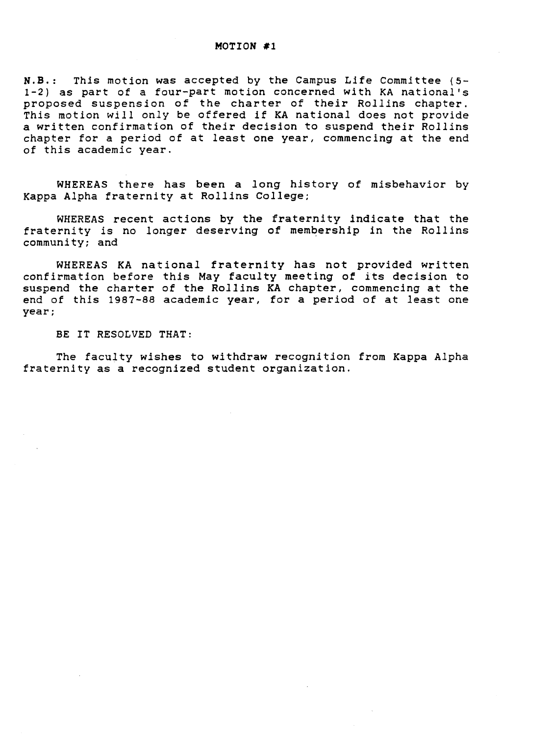### **MOTION** #1

**N.B.:** *This* motion was accepted by the Campus Life Committee (5- 1-2) as part of a four-part motion concerned with KA national's proposed suspension of the charter of their *Rollins* chapter. This motion *will* only be offered if KA national does not provide a written confirmation of their decision to suspend their *Rollins*  chapter for a period of at least one year, commencing at the end of this academic year.

WHEREAS there has been a *long* history of misbehavior by Kappa Alpha fraternity at *Rollins* College;

WHEREAS recent actions by the fraternity indicate that the fraternity is no longer deserving of membership *in* the Rollins community; and

WHEREAS KA national fraternity has not provided written confirmation before this May faculty meeting of its decision to suspend the charter of the *Rollins* KA chapter, commencing at the end of this 1987-88 academic year, for a period of at least one year;

BE IT RESOLVED THAT:

The faculty wishes to withdraw recognition from Kappa Alpha fraternity as a recognized student organization.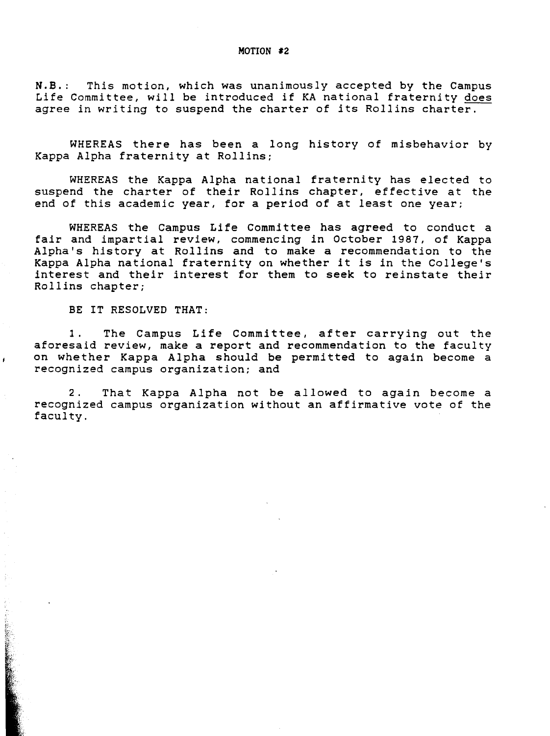**N.B.:** This motion, which was unanimously accepted by the Campus Life Committee, will be introduced if KA national fraternity does agree in writing to suspend the charter of its Rollins charter.

WHEREAS there has been a long history of misbehavior by Kappa Alpha fraternity at Rollins;

WHEREAS the Kappa Alpha national fraternity has elected to suspend the charter of their Rollins chapter, effective at the end of this academic year, for a period of at least one year;

WHEREAS the Campus Life Committee has agreed to conduct a fair and impartial review, commencing in October 1987, of Kappa Alpha's history at Rollins and to make a recommendation to the Kappa Alpha national fraternity on whether it is *in* the College's interest and their interest for them to seek to reinstate their Rollins chapter;

BE IT RESOLVED **THAT:** 

1. The Campus Life Committee, after carrying out the aforesaid review, make a report and recommendation to the faculty on whether Kappa Alpha should be permitted to again become a recognized campus organization; and

2. That Kappa Alpha not be allowed to again become a recognized campus organization without an affirmative vote of the faculty.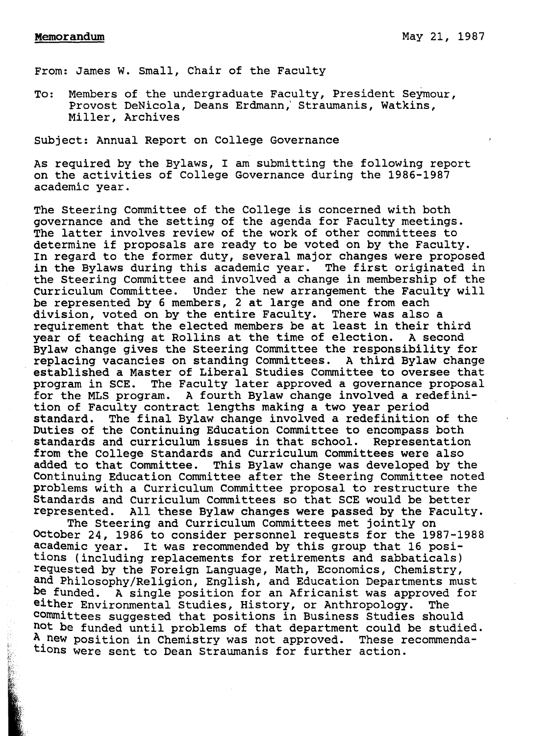From: James W. Small, Chair of the Faculty

To: Members of the undergraduate Faculty, President Seymour, Provost DeNicola, Deans Erdmann,' Straumanis, Watkins, Miller, Archives

subject: Annual Report on College Governance

As required by the Bylaws, I am submitting the following report on the activities of College Governance during the 1986-1987 academic year.

The Steering Committee of the College is concerned with both governance and the setting of the agenda for Faculty meetings. The latter involves review of the work of other committees to determine if proposals are ready to be voted on by the Faculty. In regard to the former duty, several major changes were proposed in the Bylaws during this academic year. The first originated in the Steering Committee and involved a change in membership of the curriculum Committee. Under the new arrangement the Faculty will be represented by 6 members, 2 at large and one from each division, voted on by the entire Faculty. There was also a requirement that the elected members be at least in their third<br>year of teaching at Rollins at the time of election. A second year of teaching at Rollins at the time of election. Bylaw change gives the Steering Committee the responsibility for replacing vacancies on standing Committees. A third Bylaw change established a Master of Liberal Studies Committee to oversee that program in SCE. The Faculty later approved a governance proposal<br>for the MLS program. A fourth Bylaw change involved a redefini-A fourth Bylaw change involved a redefinition of Faculty contract lengths making a two year period standard. The final Bylaw change involved a redefinition of the Duties of the Continuing Education Committee to encompass both standards and curriculum issues in that school. Representation standards and curriculum issues in that school. from the College Standards and Curriculum Committees were also added to that Committee. This Bylaw change was developed by the Continuing Education Committee after the Steering Committee noted problems with a Curriculum Committee proposal to restructure the Standards and Curriculum Committees so that SCE would be better represented. All these Bylaw changes were passed by the Faculty.

The Steering and Curriculum Committees met jointly on October 24, 1986 to consider personnel requests for the 1987-1988 academic year. It was recommended by this group that 16 positions (including replacements for retirements and sabbaticals) requested by the Foreign Language, Math, Economics, Chemistry, and Philosophy/Religion, English, and Education Departments must<br>be funded. A single position for an Africanist was approved for A single position for an Africanist was approved for either Environmental Studies, History, or Anthropology. The committees suggested that positions in Business Studies should not be funded until problems of that department could be studied.<br>A new position in Chemistry was not approved. These recommenda-A new position in Chemistry was not approved. tions were sent to Dean Straumanis for further action.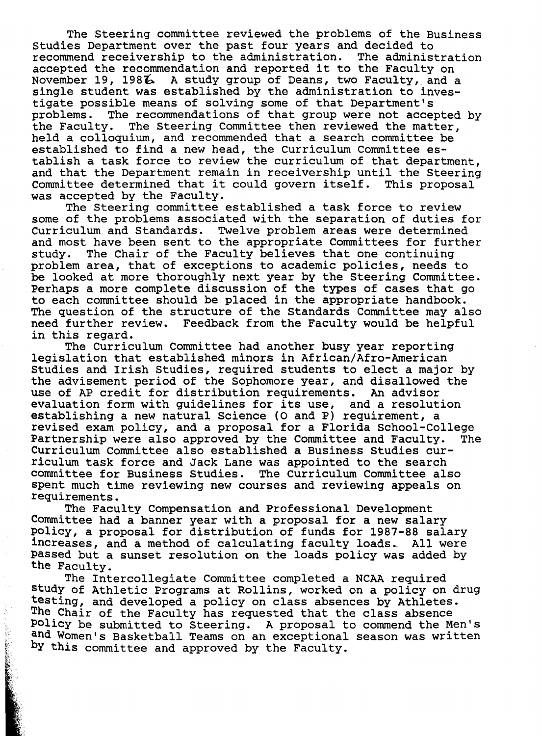The Steering committee reviewed the problems of the Business studies Department over the past four years and decided to recommend receivership to the administration. The administration accepted the recommendation and reported it to the Faculty on November 19, 1986 A study group of Deans, two Faculty, and a single student was established by the administration to investigate possible means of solving some of that Department's problems. The recommendations of that group were not accepted by<br>the Faculty. The Steering Committee then reviewed the matter. The Steering Committee then reviewed the matter, held a colloquium, and recommended that a search committee be established to find a new head, the Curriculum Committee establish a task force to review the curriculum of that department, and that the Department remain in receivership until the Steering Committee determined that it could govern itself. This proposal was accepted by the Faculty.

The Steering committee established a task force to review some of the problems associated with the separation of duties for Curriculum and Standards. Twelve problem areas were determined and most have been sent to the appropriate Committees for further<br>study. The Chair of the Faculty believes that one continuing The Chair of the Faculty believes that one continuing problem area, that of exceptions to academic policies, needs to be looked at more thoroughly next year by the Steering Committee. Perhaps a more complete discussion of the types of cases that go to each committee should be placed in the appropriate handbook. The question of the structure of the Standards Committee may also need further review. Feedback from the Faculty would be helpful in this regard.

The Curriculum Committee had another busy year reporting legislation that established minors in African/Afro-American Studies and Irish Studies, required students to elect a major by the advisement period of the Sophomore year, and disallowed the use of AP credit for distribution requirements. An advisor use of AP credit for distribution requirements. evaluation form with guidelines for its use, and a resolution establishing a new natural Science (O and P) requirement, a revised exam policy, and a proposal for a Florida School-College Partnership were also approved by the Committee and Faculty. The Curriculum Committee also established a Business Studies curriculum task force and Jack Lane was appointed to the search committee for Business Studies. The curriculum Committee also spent much time reviewing new courses and reviewing appeals on requirements.

The Faculty Compensation and Professional Development Committee had a banner year with a proposal for a new salary policy, a proposal for distribution of funds for 1987-88 salary increases, and a method of calculating faculty loads. All were passed but a sunset resolution on the loads policy was added by the Faculty.

The Intercollegiate Committee completed a NCAA required study of Athletic Programs at Rollins, worked on a policy on drug testing, and developed a policy on class absences by Athletes. The Chair of the Faculty has requested that the class absence Policy be submitted to Steering. A proposal to commend the Men's and Women's Basketball Teams on an exceptional season was written by this committee and approved by the Faculty.

**REALWAY**